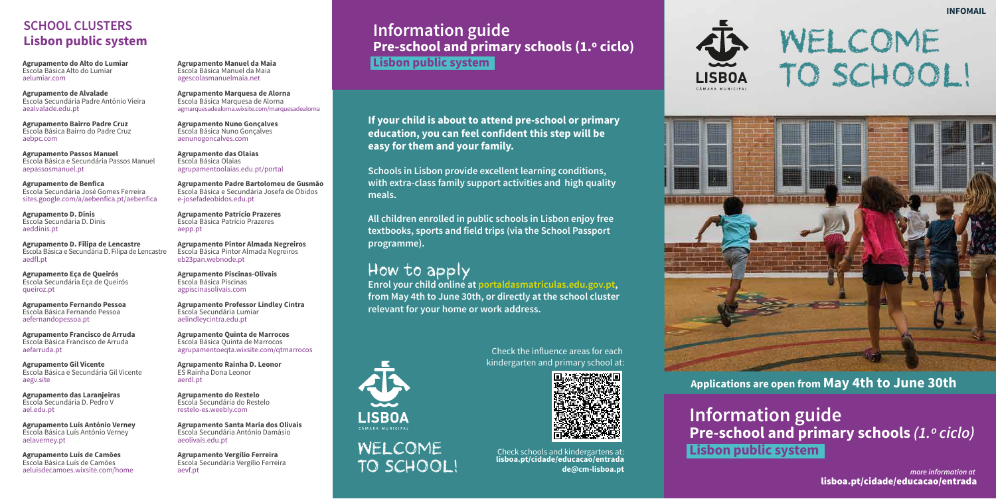WELCOME TO SCHOOL!



### **SCHOOL CLUSTERS Lisbon public system**

# **Pre-school and primary schools** *(1.º ciclo)* **Lisbon public system Information guide**

Check the influence areas for each kindergarten and primary school at:



Check schools and kindergartens at: **lisboa.pt/cidade/educacao/entrada de@cm-lisboa.pt** **Applications are open from May 4th to June 30th** 

# **Pre-school and primary schools (1.º ciclo) Lisbon public system Information guide**



**If your child is about to attend pre-school or primary education, you can feel confident this step will be easy for them and your family.**

**Schools in Lisbon provide excellent learning conditions, with extra-class family support activities and high quality meals.**

**Agrupamento D. Filipa de Lencastre** Escola Básica e Secundária D. Filipa de Lencastre aedfl.nt

**All children enrolled in public schools in Lisbon enjoy free textbooks, sports and field trips (via the School Passport programme).**

# How to apply

**Enrol your child online at portaldasmatriculas.edu.gov.pt, from May 4th to June 30th, or directly at the school cluster relevant for your home or work address.** 



**Agrupamento do Alto do Lumiar** Escola Básica Alto do Lumiar aelumiar.com

**Agrupamento de Alvalade**  Escola Secundária Padre António Vieira aealvalade.edu.pt

**Agrupamento Bairro Padre Cruz** Escola Básica Bairro do Padre Cruz aebpc.com

**Agrupamento Passos Manuel**  Escola Básica e Secundária Passos Manuel aepassosmanuel.pt

**Agrupamento de Benfica** Escola Secundária José Gomes Ferreira sites.google.com/a/aebenfica.pt/aebenfica

**Agrupamento D. Dinis** Escola Secundária D. Dinis aeddinis.pt

**Agrupamento Eça de Queirós** Escola Secundária Eça de Queirós queiroz.pt

> **Agrupamento Vergílio Ferreira** Escola Secundária Vergílio Ferreira aevf.nt

**Agrupamento Fernando Pessoa** Escola Básica Fernando Pessoa aefernandopessoa.pt

**Agrupamento Francisco de Arruda** Escola Básica Francisco de Arruda aefarruda.pt

**Agrupamento Gil Vicente** Escola Básica e Secundária Gil Vicente aegv.site

**Agrupamento das Laranjeiras** Escola Secundária D. Pedro V ael.edu.pt

**Agrupamento Luís António Verney** Escola Básica Luís António Verney aelaverney.pt

**Agrupamento Luís de Camões**  Escola Básica Luís de Camões aeluisdecamoes.wixsite.com/home **Agrupamento Manuel da Maia** Escola Básica Manuel da Maia agescolasmanuelmaia.net

**Agrupamento Marquesa de Alorna** Escola Básica Marquesa de Alorna agmarquesadealorna.wixsite.com/marquesadealorna

**Agrupamento Nuno Gonçalves** Escola Básica Nuno Gonçalves aenunogoncalves.com

**Agrupamento das Olaias** Escola Básica Olaias agrupamentoolaias.edu.pt/portal

**Agrupamento Padre Bartolomeu de Gusmão** Escola Básica e Secundária Josefa de Óbidos e-josefadeobidos.edu.pt

**Agrupamento Patrício Prazeres** Escola Básica Patrício Prazeres aepp.pt

**Agrupamento Pintor Almada Negreiros** Escola Básica Pintor Almada Negreiros eb23pan.webnode.pt

**Agrupamento Piscinas-Olivais** Escola Básica Piscinas agpiscinasolivais.com

**Agrupamento Professor Lindley Cintra**  Escola Secundária Lumiar aelindleycintra.edu.pt

**Agrupamento Quinta de Marrocos** Escola Básica Quinta de Marrocos agrupamentoeqta.wixsite.com/qtmarrocos

**Agrupamento Rainha D. Leonor**  ES Rainha Dona Leonor aerdl.pt

**Agrupamento do Restelo** Escola Secundária do Restelo restelo-es.weebly.com

**Agrupamento Santa Maria dos Olivais** Escola Secundária António Damásio aeolivais.edu.pt

### **INFOMAIL**

*more information at* lisboa.pt/cidade/educacao/entrada

# WELCOME TO SCHOOL!